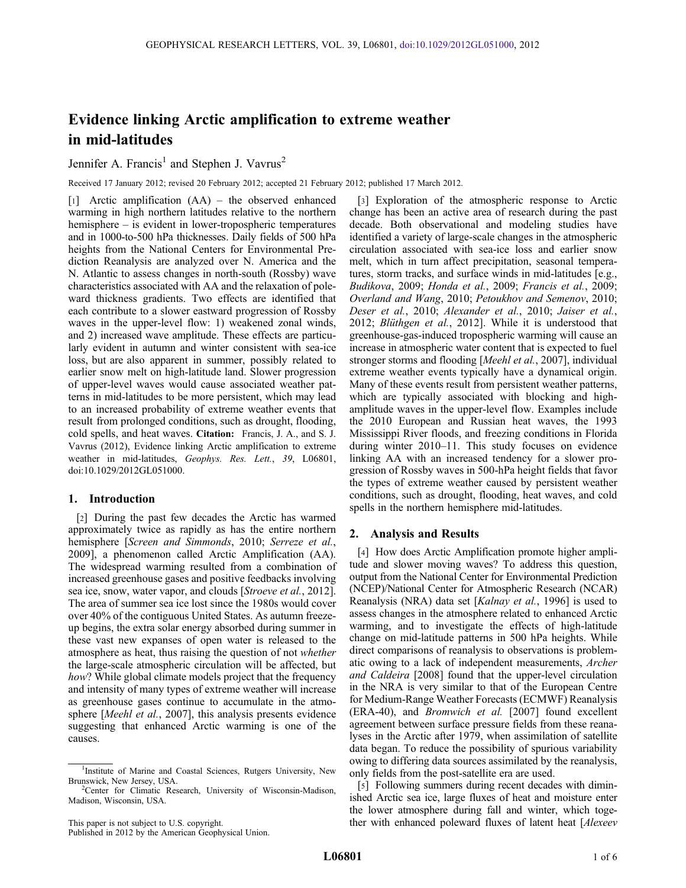# Evidence linking Arctic amplification to extreme weather in mid-latitudes

Jennifer A. Francis<sup>1</sup> and Stephen J. Vavrus<sup>2</sup>

Received 17 January 2012; revised 20 February 2012; accepted 21 February 2012; published 17 March 2012.

[1] Arctic amplification  $(AA)$  – the observed enhanced warming in high northern latitudes relative to the northern hemisphere – is evident in lower-tropospheric temperatures and in 1000-to-500 hPa thicknesses. Daily fields of 500 hPa heights from the National Centers for Environmental Prediction Reanalysis are analyzed over N. America and the N. Atlantic to assess changes in north-south (Rossby) wave characteristics associated with AA and the relaxation of poleward thickness gradients. Two effects are identified that each contribute to a slower eastward progression of Rossby waves in the upper-level flow: 1) weakened zonal winds, and 2) increased wave amplitude. These effects are particularly evident in autumn and winter consistent with sea-ice loss, but are also apparent in summer, possibly related to earlier snow melt on high-latitude land. Slower progression of upper-level waves would cause associated weather patterns in mid-latitudes to be more persistent, which may lead to an increased probability of extreme weather events that result from prolonged conditions, such as drought, flooding, cold spells, and heat waves. Citation: Francis, J. A., and S. J. Vavrus (2012), Evidence linking Arctic amplification to extreme weather in mid-latitudes, Geophys. Res. Lett., 39, L06801, doi:10.1029/2012GL051000.

## 1. Introduction

[2] During the past few decades the Arctic has warmed approximately twice as rapidly as has the entire northern hemisphere [Screen and Simmonds, 2010; Serreze et al., 2009], a phenomenon called Arctic Amplification (AA). The widespread warming resulted from a combination of increased greenhouse gases and positive feedbacks involving sea ice, snow, water vapor, and clouds [Stroeve et al., 2012]. The area of summer sea ice lost since the 1980s would cover over 40% of the contiguous United States. As autumn freezeup begins, the extra solar energy absorbed during summer in these vast new expanses of open water is released to the atmosphere as heat, thus raising the question of not whether the large-scale atmospheric circulation will be affected, but how? While global climate models project that the frequency and intensity of many types of extreme weather will increase as greenhouse gases continue to accumulate in the atmosphere [Meehl et al., 2007], this analysis presents evidence suggesting that enhanced Arctic warming is one of the causes.

This paper is not subject to U.S. copyright.

Published in 2012 by the American Geophysical Union.

[3] Exploration of the atmospheric response to Arctic change has been an active area of research during the past decade. Both observational and modeling studies have identified a variety of large-scale changes in the atmospheric circulation associated with sea-ice loss and earlier snow melt, which in turn affect precipitation, seasonal temperatures, storm tracks, and surface winds in mid-latitudes [e.g., Budikova, 2009; Honda et al., 2009; Francis et al., 2009; Overland and Wang, 2010; Petoukhov and Semenov, 2010; Deser et al., 2010; Alexander et al., 2010; Jaiser et al., 2012; Blüthgen et al., 2012]. While it is understood that greenhouse-gas-induced tropospheric warming will cause an increase in atmospheric water content that is expected to fuel stronger storms and flooding [Meehl et al., 2007], individual extreme weather events typically have a dynamical origin. Many of these events result from persistent weather patterns, which are typically associated with blocking and highamplitude waves in the upper-level flow. Examples include the 2010 European and Russian heat waves, the 1993 Mississippi River floods, and freezing conditions in Florida during winter 2010–11. This study focuses on evidence linking AA with an increased tendency for a slower progression of Rossby waves in 500-hPa height fields that favor the types of extreme weather caused by persistent weather conditions, such as drought, flooding, heat waves, and cold spells in the northern hemisphere mid-latitudes.

#### 2. Analysis and Results

[4] How does Arctic Amplification promote higher amplitude and slower moving waves? To address this question, output from the National Center for Environmental Prediction (NCEP)/National Center for Atmospheric Research (NCAR) Reanalysis (NRA) data set [Kalnay et al., 1996] is used to assess changes in the atmosphere related to enhanced Arctic warming, and to investigate the effects of high-latitude change on mid-latitude patterns in 500 hPa heights. While direct comparisons of reanalysis to observations is problematic owing to a lack of independent measurements, Archer and Caldeira [2008] found that the upper-level circulation in the NRA is very similar to that of the European Centre for Medium-Range Weather Forecasts (ECMWF) Reanalysis (ERA-40), and Bromwich et al. [2007] found excellent agreement between surface pressure fields from these reanalyses in the Arctic after 1979, when assimilation of satellite data began. To reduce the possibility of spurious variability owing to differing data sources assimilated by the reanalysis, only fields from the post-satellite era are used.

[5] Following summers during recent decades with diminished Arctic sea ice, large fluxes of heat and moisture enter the lower atmosphere during fall and winter, which together with enhanced poleward fluxes of latent heat [Alexeev

<sup>&</sup>lt;sup>1</sup>Institute of Marine and Coastal Sciences, Rutgers University, New Brunswick, New Jersey, USA. <sup>2</sup>

<sup>&</sup>lt;sup>2</sup>Center for Climatic Research, University of Wisconsin-Madison, Madison, Wisconsin, USA.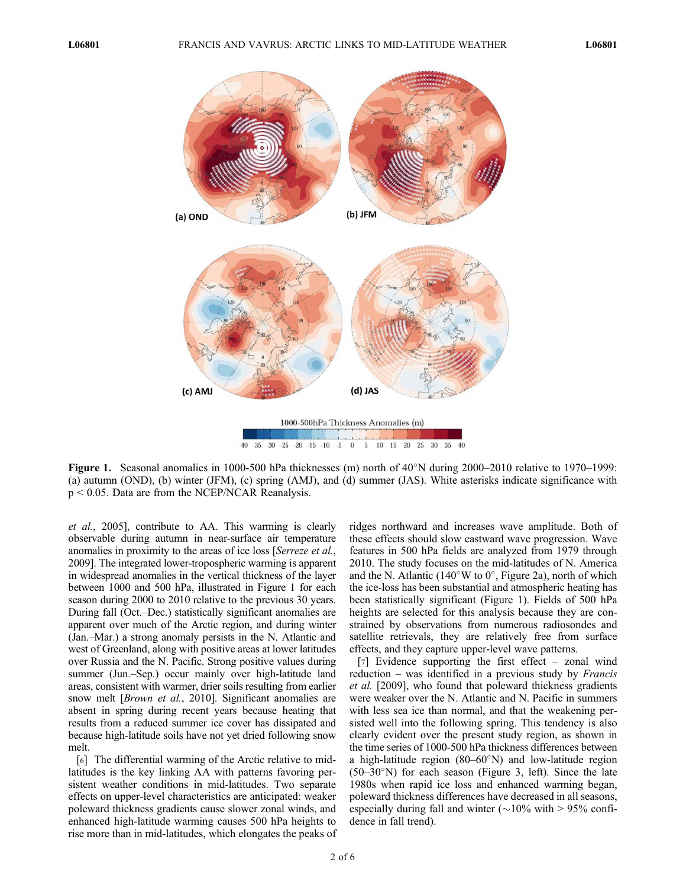

Figure 1. Seasonal anomalies in 1000-500 hPa thicknesses (m) north of  $40^{\circ}$ N during 2000–2010 relative to 1970–1999: (a) autumn (OND), (b) winter (JFM), (c) spring (AMJ), and (d) summer (JAS). White asterisks indicate significance with p < 0.05. Data are from the NCEP/NCAR Reanalysis.

et al., 2005], contribute to AA. This warming is clearly observable during autumn in near-surface air temperature anomalies in proximity to the areas of ice loss [Serreze et al., 2009]. The integrated lower-tropospheric warming is apparent in widespread anomalies in the vertical thickness of the layer between 1000 and 500 hPa, illustrated in Figure 1 for each season during 2000 to 2010 relative to the previous 30 years. During fall (Oct.–Dec.) statistically significant anomalies are apparent over much of the Arctic region, and during winter (Jan.–Mar.) a strong anomaly persists in the N. Atlantic and west of Greenland, along with positive areas at lower latitudes over Russia and the N. Pacific. Strong positive values during summer (Jun.–Sep.) occur mainly over high-latitude land areas, consistent with warmer, drier soils resulting from earlier snow melt [*Brown et al.*, 2010]. Significant anomalies are absent in spring during recent years because heating that results from a reduced summer ice cover has dissipated and because high-latitude soils have not yet dried following snow melt.

[6] The differential warming of the Arctic relative to midlatitudes is the key linking AA with patterns favoring persistent weather conditions in mid-latitudes. Two separate effects on upper-level characteristics are anticipated: weaker poleward thickness gradients cause slower zonal winds, and enhanced high-latitude warming causes 500 hPa heights to rise more than in mid-latitudes, which elongates the peaks of ridges northward and increases wave amplitude. Both of these effects should slow eastward wave progression. Wave features in 500 hPa fields are analyzed from 1979 through 2010. The study focuses on the mid-latitudes of N. America and the N. Atlantic (140°W to 0°, Figure 2a), north of which the ice-loss has been substantial and atmospheric heating has been statistically significant (Figure 1). Fields of 500 hPa heights are selected for this analysis because they are constrained by observations from numerous radiosondes and satellite retrievals, they are relatively free from surface effects, and they capture upper-level wave patterns.

[7] Evidence supporting the first effect – zonal wind reduction – was identified in a previous study by *Francis* et al. [2009], who found that poleward thickness gradients were weaker over the N. Atlantic and N. Pacific in summers with less sea ice than normal, and that the weakening persisted well into the following spring. This tendency is also clearly evident over the present study region, as shown in the time series of 1000-500 hPa thickness differences between a high-latitude region  $(80-60°N)$  and low-latitude region  $(50-30°N)$  for each season (Figure 3, left). Since the late 1980s when rapid ice loss and enhanced warming began, poleward thickness differences have decreased in all seasons, especially during fall and winter ( $\sim$ 10% with > 95% confidence in fall trend).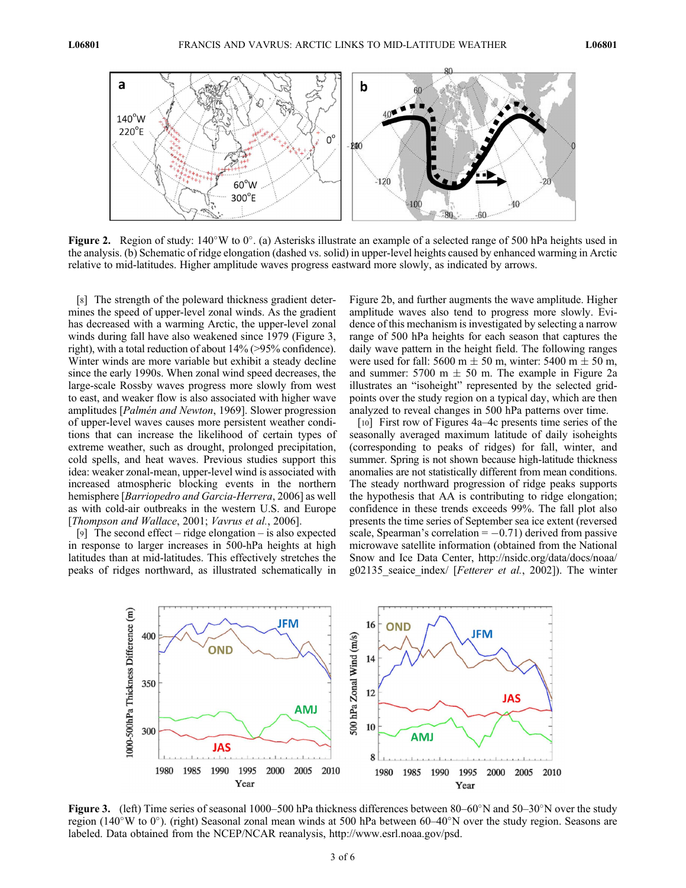

Figure 2. Region of study:  $140^{\circ}$ W to  $0^{\circ}$ . (a) Asterisks illustrate an example of a selected range of 500 hPa heights used in the analysis. (b) Schematic of ridge elongation (dashed vs. solid) in upper-level heights caused by enhanced warming in Arctic relative to mid-latitudes. Higher amplitude waves progress eastward more slowly, as indicated by arrows.

[8] The strength of the poleward thickness gradient determines the speed of upper-level zonal winds. As the gradient has decreased with a warming Arctic, the upper-level zonal winds during fall have also weakened since 1979 (Figure 3, right), with a total reduction of about 14% (>95% confidence). Winter winds are more variable but exhibit a steady decline since the early 1990s. When zonal wind speed decreases, the large-scale Rossby waves progress more slowly from west to east, and weaker flow is also associated with higher wave amplitudes [Palmén and Newton, 1969]. Slower progression of upper-level waves causes more persistent weather conditions that can increase the likelihood of certain types of extreme weather, such as drought, prolonged precipitation, cold spells, and heat waves. Previous studies support this idea: weaker zonal-mean, upper-level wind is associated with increased atmospheric blocking events in the northern hemisphere [*Barriopedro and Garcia-Herrera*, 2006] as well as with cold-air outbreaks in the western U.S. and Europe [Thompson and Wallace, 2001; Vavrus et al., 2006].

[9] The second effect – ridge elongation – is also expected in response to larger increases in 500-hPa heights at high latitudes than at mid-latitudes. This effectively stretches the peaks of ridges northward, as illustrated schematically in Figure 2b, and further augments the wave amplitude. Higher amplitude waves also tend to progress more slowly. Evidence of this mechanism is investigated by selecting a narrow range of 500 hPa heights for each season that captures the daily wave pattern in the height field. The following ranges were used for fall: 5600 m  $\pm$  50 m, winter: 5400 m  $\pm$  50 m, and summer: 5700 m  $\pm$  50 m. The example in Figure 2a illustrates an "isoheight" represented by the selected gridpoints over the study region on a typical day, which are then analyzed to reveal changes in 500 hPa patterns over time.

[10] First row of Figures 4a–4c presents time series of the seasonally averaged maximum latitude of daily isoheights (corresponding to peaks of ridges) for fall, winter, and summer. Spring is not shown because high-latitude thickness anomalies are not statistically different from mean conditions. The steady northward progression of ridge peaks supports the hypothesis that AA is contributing to ridge elongation; confidence in these trends exceeds 99%. The fall plot also presents the time series of September sea ice extent (reversed scale, Spearman's correlation  $= -0.71$ ) derived from passive microwave satellite information (obtained from the National Snow and Ice Data Center, http://nsidc.org/data/docs/noaa/ g02135 seaice index/ [Fetterer et al., 2002]). The winter



**Figure 3.** (left) Time series of seasonal 1000–500 hPa thickness differences between  $80-60^{\circ}$ N and  $50-30^{\circ}$ N over the study region (140°W to 0°). (right) Seasonal zonal mean winds at 500 hPa between 60–40°N over the study region. Seasons are labeled. Data obtained from the NCEP/NCAR reanalysis, http://www.esrl.noaa.gov/psd.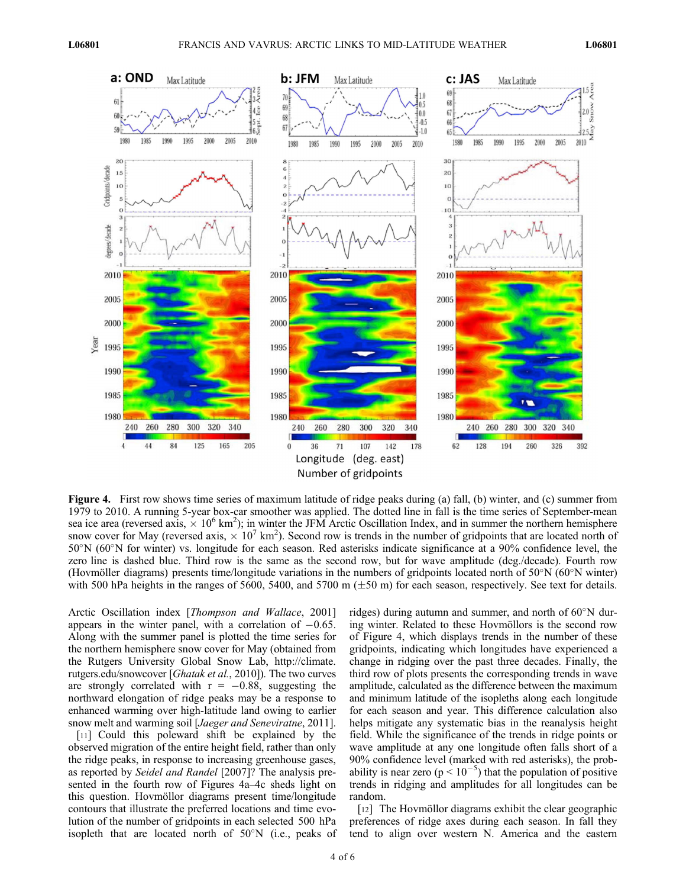

Figure 4. First row shows time series of maximum latitude of ridge peaks during (a) fall, (b) winter, and (c) summer from 1979 to 2010. A running 5-year box-car smoother was applied. The dotted line in fall is the time series of September-mean sea ice area (reversed axis,  $\times$  10<sup>6</sup> km<sup>2</sup>); in winter the JFM Arctic Oscillation Index, and in summer the northern hemisphere snow cover for May (reversed axis,  $\times 10^7$  km<sup>2</sup>). Second row is trends in the number of gridpoints that are located north of  $50^{\circ}$ N (60°N for winter) vs. longitude for each season. Red asterisks indicate significance at a 90% confidence level, the zero line is dashed blue. Third row is the same as the second row, but for wave amplitude (deg./decade). Fourth row (Hovmöller diagrams) presents time/longitude variations in the numbers of gridpoints located north of  $50^{\circ}$ N (60°N winter) with 500 hPa heights in the ranges of 5600, 5400, and 5700 m  $(\pm 50 \text{ m})$  for each season, respectively. See text for details.

Arctic Oscillation index [*Thompson and Wallace*, 2001] appears in the winter panel, with a correlation of  $-0.65$ . Along with the summer panel is plotted the time series for the northern hemisphere snow cover for May (obtained from the Rutgers University Global Snow Lab, http://climate. rutgers.edu/snowcover [Ghatak et al., 2010]). The two curves are strongly correlated with  $r = -0.88$ , suggesting the northward elongation of ridge peaks may be a response to enhanced warming over high-latitude land owing to earlier snow melt and warming soil [Jaeger and Seneviratne, 2011].

[11] Could this poleward shift be explained by the observed migration of the entire height field, rather than only the ridge peaks, in response to increasing greenhouse gases, as reported by Seidel and Randel [2007]? The analysis presented in the fourth row of Figures 4a–4c sheds light on this question. Hovmöllor diagrams present time/longitude contours that illustrate the preferred locations and time evolution of the number of gridpoints in each selected 500 hPa isopleth that are located north of  $50^{\circ}$ N (i.e., peaks of

ridges) during autumn and summer, and north of  $60^{\circ}$ N during winter. Related to these Hovmöllors is the second row of Figure 4, which displays trends in the number of these gridpoints, indicating which longitudes have experienced a change in ridging over the past three decades. Finally, the third row of plots presents the corresponding trends in wave amplitude, calculated as the difference between the maximum and minimum latitude of the isopleths along each longitude for each season and year. This difference calculation also helps mitigate any systematic bias in the reanalysis height field. While the significance of the trends in ridge points or wave amplitude at any one longitude often falls short of a 90% confidence level (marked with red asterisks), the probability is near zero ( $p < 10^{-5}$ ) that the population of positive trends in ridging and amplitudes for all longitudes can be random.

[12] The Hovmöllor diagrams exhibit the clear geographic preferences of ridge axes during each season. In fall they tend to align over western N. America and the eastern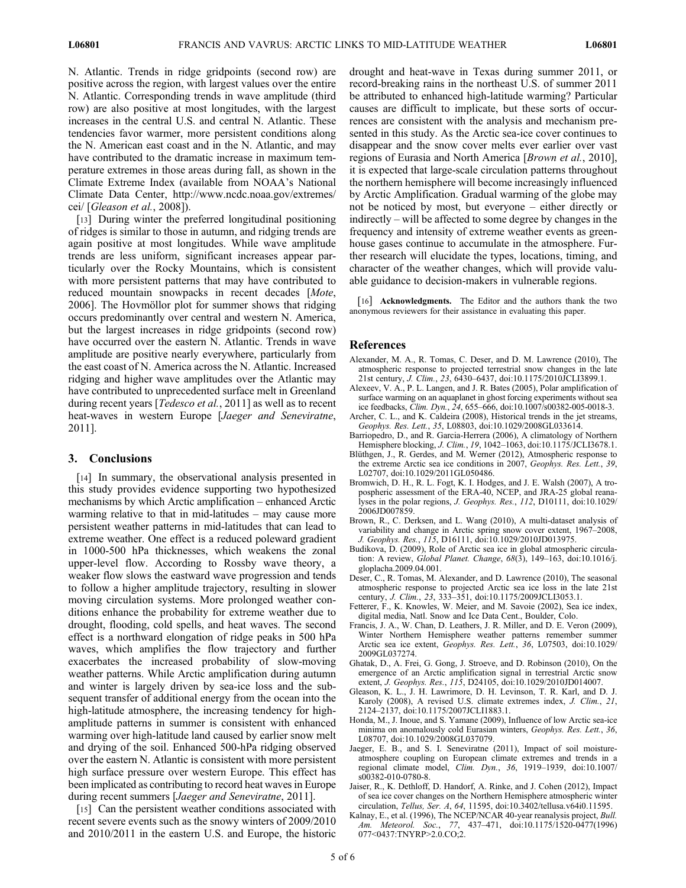N. Atlantic. Trends in ridge gridpoints (second row) are positive across the region, with largest values over the entire N. Atlantic. Corresponding trends in wave amplitude (third row) are also positive at most longitudes, with the largest increases in the central U.S. and central N. Atlantic. These tendencies favor warmer, more persistent conditions along the N. American east coast and in the N. Atlantic, and may have contributed to the dramatic increase in maximum temperature extremes in those areas during fall, as shown in the Climate Extreme Index (available from NOAA's National Climate Data Center, http://www.ncdc.noaa.gov/extremes/ cei/ [Gleason et al., 2008]).

[13] During winter the preferred longitudinal positioning of ridges is similar to those in autumn, and ridging trends are again positive at most longitudes. While wave amplitude trends are less uniform, significant increases appear particularly over the Rocky Mountains, which is consistent with more persistent patterns that may have contributed to reduced mountain snowpacks in recent decades [Mote, 2006]. The Hovmöllor plot for summer shows that ridging occurs predominantly over central and western N. America, but the largest increases in ridge gridpoints (second row) have occurred over the eastern N. Atlantic. Trends in wave amplitude are positive nearly everywhere, particularly from the east coast of N. America across the N. Atlantic. Increased ridging and higher wave amplitudes over the Atlantic may have contributed to unprecedented surface melt in Greenland during recent years [*Tedesco et al.*, 2011] as well as to recent heat-waves in western Europe *[Jaeger and Seneviratne*, 2011].

### 3. Conclusions

[14] In summary, the observational analysis presented in this study provides evidence supporting two hypothesized mechanisms by which Arctic amplification – enhanced Arctic warming relative to that in mid-latitudes – may cause more persistent weather patterns in mid-latitudes that can lead to extreme weather. One effect is a reduced poleward gradient in 1000-500 hPa thicknesses, which weakens the zonal upper-level flow. According to Rossby wave theory, a weaker flow slows the eastward wave progression and tends to follow a higher amplitude trajectory, resulting in slower moving circulation systems. More prolonged weather conditions enhance the probability for extreme weather due to drought, flooding, cold spells, and heat waves. The second effect is a northward elongation of ridge peaks in 500 hPa waves, which amplifies the flow trajectory and further exacerbates the increased probability of slow-moving weather patterns. While Arctic amplification during autumn and winter is largely driven by sea-ice loss and the subsequent transfer of additional energy from the ocean into the high-latitude atmosphere, the increasing tendency for highamplitude patterns in summer is consistent with enhanced warming over high-latitude land caused by earlier snow melt and drying of the soil. Enhanced 500-hPa ridging observed over the eastern N. Atlantic is consistent with more persistent high surface pressure over western Europe. This effect has been implicated as contributing to record heat waves in Europe during recent summers [*Jaeger and Seneviratne*, 2011].

[15] Can the persistent weather conditions associated with recent severe events such as the snowy winters of 2009/2010 and 2010/2011 in the eastern U.S. and Europe, the historic

drought and heat-wave in Texas during summer 2011, or record-breaking rains in the northeast U.S. of summer 2011 be attributed to enhanced high-latitude warming? Particular causes are difficult to implicate, but these sorts of occurrences are consistent with the analysis and mechanism presented in this study. As the Arctic sea-ice cover continues to disappear and the snow cover melts ever earlier over vast regions of Eurasia and North America [Brown et al., 2010], it is expected that large-scale circulation patterns throughout the northern hemisphere will become increasingly influenced by Arctic Amplification. Gradual warming of the globe may not be noticed by most, but everyone – either directly or indirectly – will be affected to some degree by changes in the frequency and intensity of extreme weather events as greenhouse gases continue to accumulate in the atmosphere. Further research will elucidate the types, locations, timing, and character of the weather changes, which will provide valuable guidance to decision-makers in vulnerable regions.

[16] Acknowledgments. The Editor and the authors thank the two anonymous reviewers for their assistance in evaluating this paper.

#### References

- Alexander, M. A., R. Tomas, C. Deser, and D. M. Lawrence (2010), The atmospheric response to projected terrestrial snow changes in the late 21st century, J. Clim., 23, 6430–6437, doi:10.1175/2010JCLI3899.1.
- Alexeev, V. A., P. L. Langen, and J. R. Bates (2005), Polar amplification of surface warming on an aquaplanet in ghost forcing experiments without sea ice feedbacks, Clim. Dyn., 24, 655–666, doi:10.1007/s00382-005-0018-3.
- Archer, C. L., and K. Caldeira (2008), Historical trends in the jet streams, Geophys. Res. Lett., 35, L08803, doi:10.1029/2008GL033614.
- Barriopedro, D., and R. Garcia-Herrera (2006), A climatology of Northern Hemisphere blocking, J. Clim., 19, 1042–1063, doi:10.1175/JCLI3678.1.
- Blüthgen, J., R. Gerdes, and M. Werner (2012), Atmospheric response to the extreme Arctic sea ice conditions in 2007, Geophys. Res. Lett., 39, L02707, doi:10.1029/2011GL050486.
- Bromwich, D. H., R. L. Fogt, K. I. Hodges, and J. E. Walsh (2007), A tropospheric assessment of the ERA-40, NCEP, and JRA-25 global reanalyses in the polar regions, J. Geophys. Res., 112, D10111, doi:10.1029/ 2006JD007859.
- Brown, R., C. Derksen, and L. Wang (2010), A multi-dataset analysis of variability and change in Arctic spring snow cover extent, 1967–2008, J. Geophys. Res., 115, D16111, doi:10.1029/2010JD013975.
- Budikova, D. (2009), Role of Arctic sea ice in global atmospheric circulation: A review, Global Planet. Change, 68(3), 149–163, doi:10.1016/j. gloplacha.2009.04.001.
- Deser, C., R. Tomas, M. Alexander, and D. Lawrence (2010), The seasonal atmospheric response to projected Arctic sea ice loss in the late 21st century, J. Clim., 23, 333–351, doi:10.1175/2009JCLI3053.1.
- Fetterer, F., K. Knowles, W. Meier, and M. Savoie (2002), Sea ice index, digital media, Natl. Snow and Ice Data Cent., Boulder, Colo.
- Francis, J. A., W. Chan, D. Leathers, J. R. Miller, and D. E. Veron (2009), Winter Northern Hemisphere weather patterns remember summer Arctic sea ice extent, Geophys. Res. Lett., 36, L07503, doi:10.1029/ 2009GL037274.
- Ghatak, D., A. Frei, G. Gong, J. Stroeve, and D. Robinson (2010), On the emergence of an Arctic amplification signal in terrestrial Arctic snow extent, J. Geophys. Res., 115, D24105, doi:10.1029/2010JD014007.
- Gleason, K. L., J. H. Lawrimore, D. H. Levinson, T. R. Karl, and D. J. Karoly (2008), A revised U.S. climate extremes index, J. Clim., 21, 2124–2137, doi:10.1175/2007JCLI1883.1.
- Honda, M., J. Inoue, and S. Yamane (2009), Influence of low Arctic sea-ice minima on anomalously cold Eurasian winters, Geophys. Res. Lett., 36, L08707, doi:10.1029/2008GL037079.
- Jaeger, E. B., and S. I. Seneviratne (2011), Impact of soil moistureatmosphere coupling on European climate extremes and trends in a regional climate model, Clim. Dyn., 36, 1919–1939, doi:10.1007/ s00382-010-0780-8.
- Jaiser, R., K. Dethloff, D. Handorf, A. Rinke, and J. Cohen (2012), Impact of sea ice cover changes on the Northern Hemisphere atmospheric winter circulation, Tellus, Ser. A, 64, 11595, doi:10.3402/tellusa.v64i0.11595.
- Kalnay, E., et al. (1996), The NCEP/NCAR 40-year reanalysis project, Bull. Am. Meteorol. Soc., 77, 437–471, doi:10.1175/1520-0477(1996) 077<0437:TNYRP>2.0.CO;2.